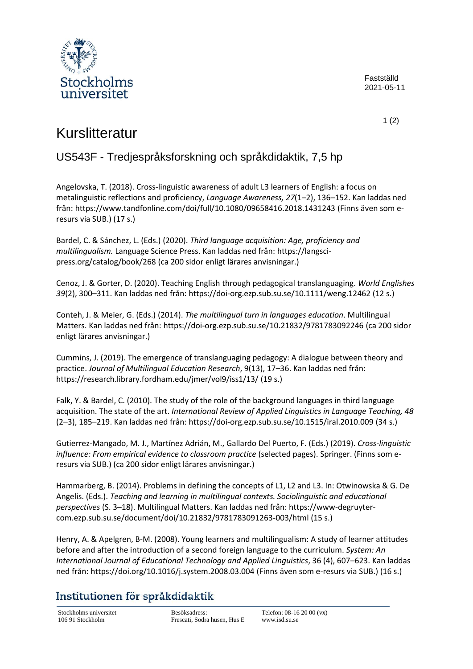

Fastställd 2021-05-11

1 (2)

## Kurslitteratur

## US543F - Tredjespråksforskning och språkdidaktik, 7,5 hp

Angelovska, T. (2018). Cross-linguistic awareness of adult L3 learners of English: a focus on metalinguistic reflections and proficiency, *Language Awareness, 27*(1–2), 136–152. Kan laddas ned från[: https://www.tandfonline.com/doi/full/10.1080/09658416.2018.1431243](https://www.tandfonline.com/doi/full/10.1080/09658416.2018.1431243) (Finns även som eresurs via SUB.) (17 s.)

Bardel, C. & Sánchez, L. (Eds.) (2020). *Third language acquisition: Age, proficiency and multilingualism.* Language Science Press. Kan laddas ned från[: https://langsci](https://langsci-press.org/catalog/book/268)[press.org/catalog/book/268](https://langsci-press.org/catalog/book/268) (ca 200 sidor enligt lärares anvisningar.)

Cenoz, J. & Gorter, D. (2020). Teaching English through pedagogical translanguaging. *World Englishes 39*(2), 300–311. Kan laddas ned från[: https://doi-org.ezp.sub.su.se/10.1111/weng.12462](https://doi-org.ezp.sub.su.se/10.1111/weng.12462) (12 s.)

Conteh, J. & Meier, G. (Eds.) (2014). *The multilingual turn in languages education*. Multilingual Matters. Kan laddas ned från[: https://doi-org.ezp.sub.su.se/10.21832/9781783092246](https://doi-org.ezp.sub.su.se/10.21832/9781783092246) (ca 200 sidor enligt lärares anvisningar.)

Cummins, J. (2019). The emergence of translanguaging pedagogy: A dialogue between theory and practice. *Journal of Multilingual Education Research*, 9(13), 17–36. Kan laddas ned från: <https://research.library.fordham.edu/jmer/vol9/iss1/13/> (19 s.)

Falk, Y. & Bardel, C. (2010). The study of the role of the background languages in third language acquisition. The state of the art. *International Review of Applied Linguistics in Language Teaching, 48* (2–3), 185–219. Kan laddas ned från[: https://doi-org.ezp.sub.su.se/10.1515/iral.2010.009](https://doi-org.ezp.sub.su.se/10.1515/iral.2010.009) (34 s.)

Gutierrez-Mangado, M. J., Martínez Adrián, M., Gallardo Del Puerto, F. (Eds.) (2019). *Cross-linguistic influence: From empirical evidence to classroom practice* (selected pages). Springer. (Finns som eresurs via SUB.) (ca 200 sidor enligt lärares anvisningar.)

Hammarberg, B. (2014). Problems in defining the concepts of L1, L2 and L3. In: Otwinowska & G. De Angelis. (Eds.). *Teaching and learning in multilingual contexts. Sociolinguistic and educational perspectives* (S. 3–18). Multilingual Matters. Kan laddas ned från: [https://www-degruyter](https://www-degruyter-com.ezp.sub.su.se/document/doi/10.21832/9781783091263-003/html)[com.ezp.sub.su.se/document/doi/10.21832/9781783091263-003/html](https://www-degruyter-com.ezp.sub.su.se/document/doi/10.21832/9781783091263-003/html) (15 s.)

Henry, A. & Apelgren, B-M. (2008). Young learners and multilingualism: A study of learner attitudes before and after the introduction of a second foreign language to the curriculum. *System: An International Journal of Educational Technology and Applied Linguistics*, 36 (4), 607–623. Kan laddas ned från:<https://doi.org/10.1016/j.system.2008.03.004> (Finns även som e-resurs via SUB.) (16 s.)

## Institutionen för språkdidaktik

Stockholms universitet Besöksadress: Telefon: 08-16 20 00 (vx)<br>106 91 Stockholm Frescati, Södra husen, Hus E www.isd.su.se Frescati, Södra husen, Hus E